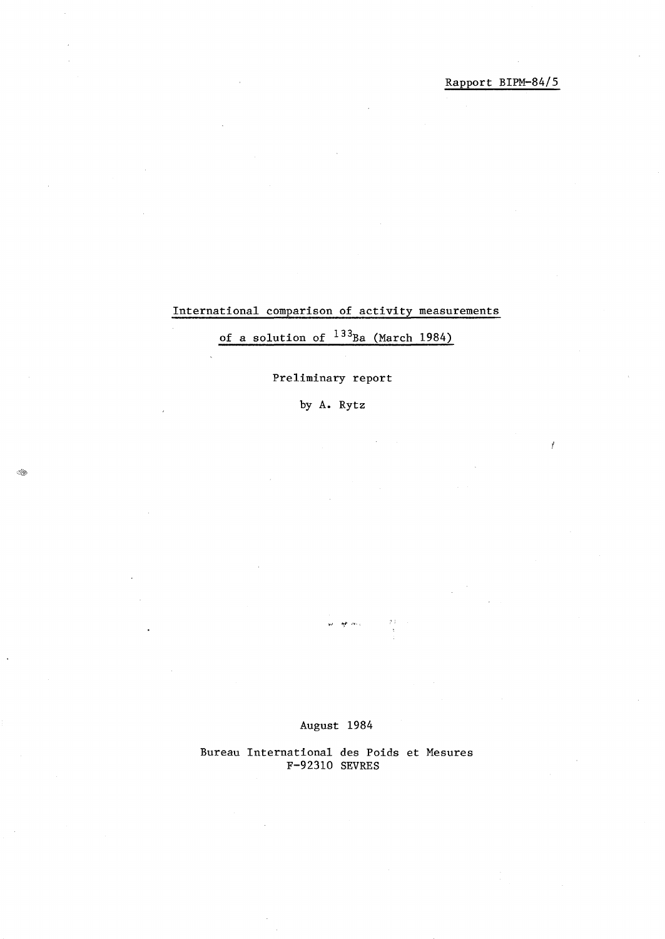Rapport BIPM-84/5

### International comparison of activity measurements

of a solution of  $133_{Ba}$  (March 1984)

### Preliminary report

by A. Rytz

-andrea<br>1970

August 1984

 $\frac{1}{2} \sum_{i=1}^{n} \sigma_i \sigma_i$ 

Bureau International des Poids et Mesures F-92310 SEVRES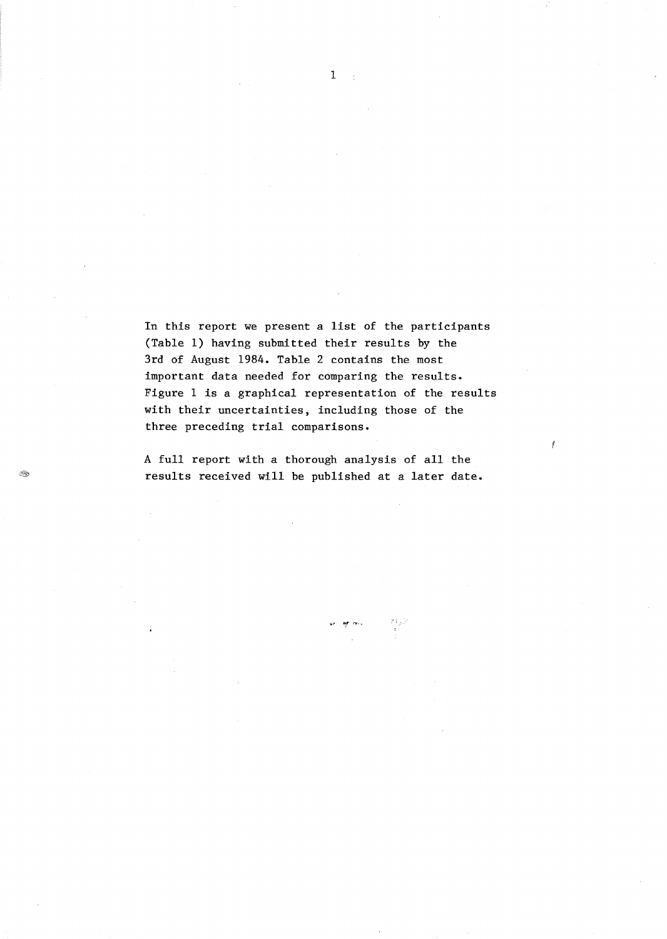In this report we present a list of the participants (Table 1) having submitted their results by the 3rd of August 1984. Table 2 contains the most important data needed for comparing the results. Figure 1 is a graphical representation of the results with their uncertainties, including those of the three preceding trial comparisons.

A full report with a thorough analysis of all the results received will be published at a later date.

ar as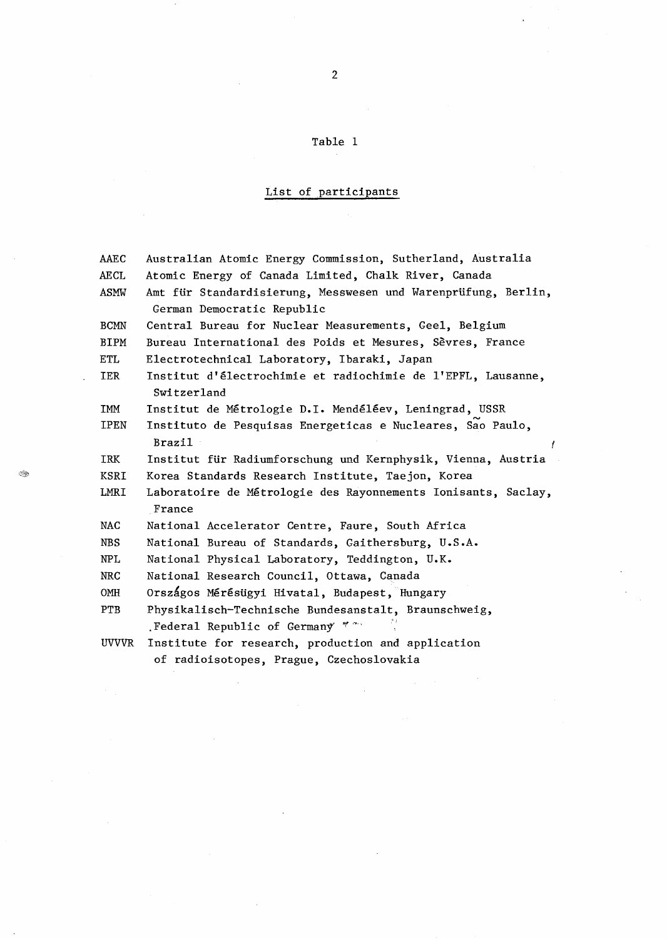#### Table 1  $\sim$   $\sim$

# List of participants

 $\hat{\mathcal{A}}$ 

| AAEC        | Australian Atomic Energy Commission, Sutherland, Australia                                      |  |  |  |  |  |  |  |  |  |
|-------------|-------------------------------------------------------------------------------------------------|--|--|--|--|--|--|--|--|--|
| AECL        | Atomic Energy of Canada Limited, Chalk River, Canada                                            |  |  |  |  |  |  |  |  |  |
| ASMW        | Amt für Standardisierung, Messwesen und Warenprüfung, Berlin,<br>German Democratic Republic     |  |  |  |  |  |  |  |  |  |
| <b>BCMN</b> | Central Bureau for Nuclear Measurements, Geel, Belgium                                          |  |  |  |  |  |  |  |  |  |
| <b>BIPM</b> | Bureau International des Poids et Mesures, Sèvres, France                                       |  |  |  |  |  |  |  |  |  |
| ETL         | Electrotechnical Laboratory, Ibaraki, Japan                                                     |  |  |  |  |  |  |  |  |  |
| IER         | Institut d'électrochimie et radiochimie de l'EPFL, Lausanne,<br>Switzerland                     |  |  |  |  |  |  |  |  |  |
| IMM         | Institut de Métrologie D.I. Mendéléev, Leningrad, USSR                                          |  |  |  |  |  |  |  |  |  |
| IPEN        | Instituto de Pesquisas Energeticas e Nucleares, Sao Paulo,<br>Brazil                            |  |  |  |  |  |  |  |  |  |
| IRK         | Institut für Radiumforschung und Kernphysik, Vienna, Austria                                    |  |  |  |  |  |  |  |  |  |
| KSRI        | Korea Standards Research Institute, Taejon, Korea                                               |  |  |  |  |  |  |  |  |  |
| LMRI        | Laboratoire de Métrologie des Rayonnements Ionisants, Saclay,<br>France                         |  |  |  |  |  |  |  |  |  |
| NAC         | National Accelerator Centre, Faure, South Africa                                                |  |  |  |  |  |  |  |  |  |
| <b>NBS</b>  | National Bureau of Standards, Gaithersburg, U.S.A.                                              |  |  |  |  |  |  |  |  |  |
| NPL         | National Physical Laboratory, Teddington, U.K.                                                  |  |  |  |  |  |  |  |  |  |
| <b>NRC</b>  | National Research Council, Ottawa, Canada                                                       |  |  |  |  |  |  |  |  |  |
| OMH         | Országos Mérésügyi Hivatal, Budapest, Hungary                                                   |  |  |  |  |  |  |  |  |  |
| <b>PTB</b>  | Physikalisch-Technische Bundesanstalt, Braunschweig,<br>23.<br>Federal Republic of Germany **** |  |  |  |  |  |  |  |  |  |
| UVVVR       | Institute for research, production and application<br>of radioisotopes. Prague. Czechoslovakia  |  |  |  |  |  |  |  |  |  |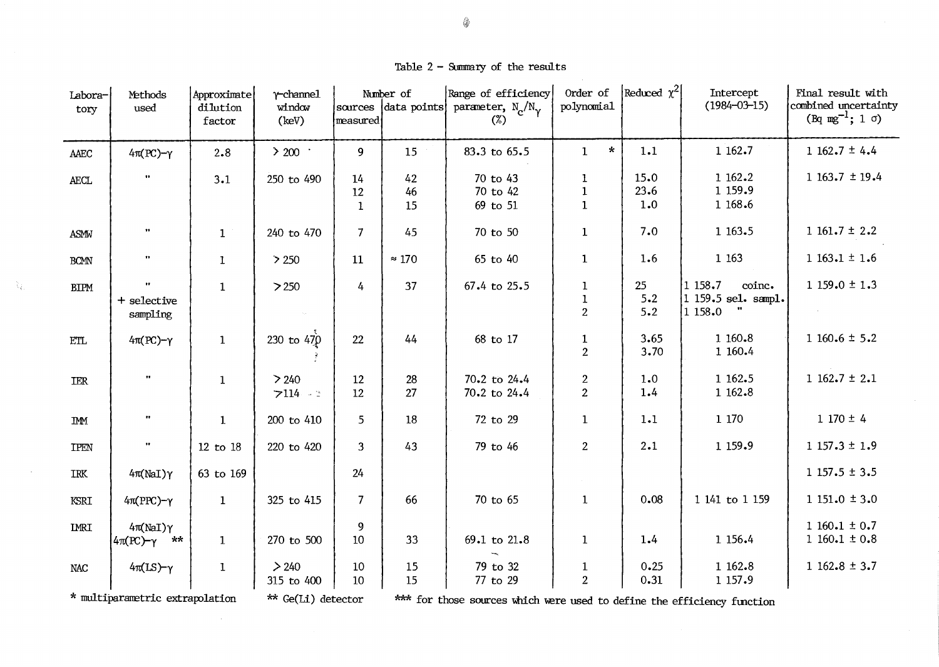Table  $2$  - Summary of the results

| Labora-<br>tory                 | Methods<br>used                            | Approximate<br>dilution<br>factor | $Y$ -channel<br>window<br>(key) | sources<br>measured | Number of<br>data points | Range of efficiency<br>parameter, $N_{\gamma}/N_{\gamma}$<br>(%)        | Order of<br>polynomial                      | Reduced $\chi^2$     | Intercept<br>$(1984 - 03 - 15)$                                     | Final result with<br>combined uncertainty<br>$(Bq mg^{-1}; 1 \sigma)$ |
|---------------------------------|--------------------------------------------|-----------------------------------|---------------------------------|---------------------|--------------------------|-------------------------------------------------------------------------|---------------------------------------------|----------------------|---------------------------------------------------------------------|-----------------------------------------------------------------------|
| AAEC                            | $4\pi (PC)-\gamma$                         | 2.8                               | $>$ 200 $\,$ .                  | 9                   | 15                       | 83.3 to 65.5                                                            | $\star$<br>$\mathbf{1}$                     | 1.1                  | 1 162.7                                                             | $1162.7 \pm 4.4$                                                      |
| <b>AECL</b>                     | $\mathbf{u}$                               | 3.1                               | 250 to 490                      | 14<br>12<br>1       | 42<br>46<br>15           | 70 to 43<br>70 to 42<br>69 to 51                                        | 1<br>$\mathbf{1}$<br>$\mathbf{1}$           | 15.0<br>23.6<br>1.0  | 1 162.2<br>1 159.9<br>1 168.6                                       | 1 163.7 $\pm$ 19.4                                                    |
| ASMW                            | $\bullet\bullet$                           | $\mathbf{1}$                      | 240 to 470                      | 7                   | 45                       | 70 to 50                                                                | $\mathbf{1}$                                | 7.0                  | 1 1 63.5                                                            | $1161.7 \pm 2.2$                                                      |
| <b>BCMN</b>                     | $\pmb{\cdots}$                             | $\mathbf{1}$                      | > 250                           | 11                  | $\approx 170$            | 65 to 40                                                                | $\mathbf{1}$                                | 1.6                  | 1 1 6 3                                                             | $1163.1 \pm 1.6$                                                      |
| <b>BIPM</b>                     | $\pmb{\cdot}$<br>+ selective<br>sampling   | $\mathbf{1}$                      | >250                            | 4                   | 37                       | 67.4 to 25.5                                                            | $\mathbf{1}$<br>$\mathbf 1$<br>$\mathbf{2}$ | 25<br>$5 - 2$<br>5.2 | 1158.7<br>coinc.<br>1 159.5 sel. sampl.<br>$\pmb{v}$<br>$ 1\>158.0$ | $1159.0 \pm 1.3$                                                      |
| <b>ETL</b>                      | $4\pi (PC)-\gamma$                         | $\mathbf{1}$                      | 230 to $470$                    | 22                  | 44                       | 68 to 17                                                                | $\mathbf{1}$<br>$\overline{2}$              | 3.65<br>3.70         | 1 160.8<br>1 160.4                                                  | $1160.6 \pm 5.2$                                                      |
| IER                             | $\mathbf{H}$                               | $\mathbf{1}$                      | > 240<br>$7114 - 3$             | 12<br>12            | 28<br>27                 | 70.2 to 24.4<br>70.2 to 24.4                                            | $\mathbf{2}$<br>$\overline{2}$              | 1.0<br>1.4           | 1 162.5<br>1 162.8                                                  | $1162.7 \pm 2.1$                                                      |
| <b>IMM</b>                      | $\mathbf{H}$                               | $\mathbf{1}$                      | 200 to 410                      | 5 <sup>5</sup>      | 18                       | 72 to 29                                                                | $\mathbf{1}$                                | 1.1                  | 1 170                                                               | $1170 \pm 4$                                                          |
| <b>IPEN</b>                     | $\bullet\bullet$                           | 12 to 18                          | 220 to 420                      | 3                   | 43                       | 79 to 46                                                                | $\boldsymbol{2}$                            | 2.1                  | 1 159.9                                                             | $1157.3 \pm 1.9$                                                      |
| IRK                             | $4\pi(NaI)\gamma$                          | 63 to 169                         |                                 | 24                  |                          |                                                                         |                                             |                      |                                                                     | $1157.5 \pm 3.5$                                                      |
| KSRI                            | $4\pi(PPC)-\gamma$                         | $\mathbf{1}$                      | 325 to 415                      | $\overline{7}$      | 66                       | 70 to 65                                                                | $\mathbf{1}$                                | 0.08                 | 1 141 to 1 159                                                      | $1151.0 \pm 3.0$                                                      |
| <b>IMRI</b>                     | $4\pi(NaI)\gamma$<br>$4\pi (PC)-\gamma$ ** | $\mathbf{1}$                      | 270 to 500                      | 9<br>10             | 33                       | 69.1 to 21.8                                                            | $\mathbf{1}$                                | 1.4                  | 1 156.4                                                             | $1160.1 \pm 0.7$<br>$1160.1 \pm 0.8$                                  |
| <b>NAC</b>                      | $4\pi(IS)-\gamma$                          | $\mathbf{1}$                      | > 240<br>315 to 400             | 10<br>10            | 15<br>15                 | 79 to 32<br>77 to 29                                                    | $\mathbf{1}$<br>$\overline{2}$              | 0.25<br>0.31         | 1 162.8<br>1 1 57.9                                                 | $1162.8 \pm 3.7$                                                      |
| * multiparametric extrapolation |                                            |                                   | ** Ge(Li) detector              |                     |                          | *** for those sources which were used to define the efficiency function |                                             |                      |                                                                     |                                                                       |

 $\sim 10^{-1}$ 

 $\lambda_{\rm L}$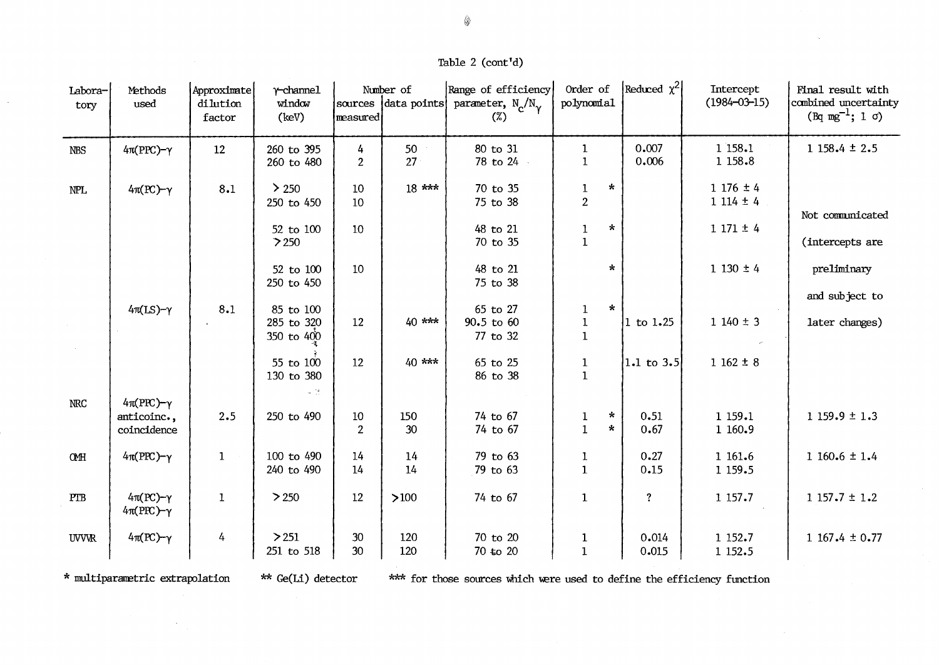## Table 2 (cont'd)

| Labora-<br>tory | Methods<br>used                                  | Approximate<br>dilution<br>factor | $\gamma$ -channel<br>window<br>(key)  | measured               | Number of<br>sources data points | Range of efficiency<br>parameter, $N_c/N_v$<br>$(\%)$ | Order of<br>polynomial                                                             | Reduced $\chi^2$        | Intercept<br>$(1984 - 03 - 15)$              | Final result with<br>combined uncertainty<br>$(Bq mg^{-1}; 1 \sigma)$ |
|-----------------|--------------------------------------------------|-----------------------------------|---------------------------------------|------------------------|----------------------------------|-------------------------------------------------------|------------------------------------------------------------------------------------|-------------------------|----------------------------------------------|-----------------------------------------------------------------------|
| <b>NBS</b>      | $4\pi(PPC)-\gamma$                               | 12                                | 260 to 395<br>260 to 480              | 4<br>$\overline{2}$    | 50<br>27                         | 80 to 31<br>78 to 24 -                                | $\mathbf{1}$<br>$\mathbf{1}$                                                       | 0.007<br>0.006          | 1 158.1<br>1 1 58.8                          | $1158.4 \pm 2.5$                                                      |
| NPL             | $4\pi (PC)-\gamma$                               | 8.1                               | $\geq 250$<br>250 to 450<br>52 to 100 | $10\,$<br>10<br>$10\,$ | $18$ ***                         | 70 to 35<br>75 to 38<br>48 to 21                      | $\star$<br>$\mathbf 1$<br>$\overline{2}$<br>$\star$<br>$\mathbf 1$<br>$\mathbf{1}$ |                         | $1176 \pm 4$<br>$1114 \pm 4$<br>$1171 \pm 4$ | Not communicated                                                      |
|                 |                                                  |                                   | 250<br>52 to 100<br>250 to 450        | 10                     |                                  | 70 to 35<br>48 to 21<br>75 to 38                      | $\star$                                                                            |                         | $1130 \pm 4$                                 | (intercepts are<br>preliminary<br>and subject to                      |
|                 | $4\pi$ (LS)- $\gamma$                            | 8.1                               | 85 to 100<br>285 to 320<br>350 to 400 | 12                     | $40***$                          | 65 to 27<br>90.5 to 60<br>77 to 32                    | $\star$<br>1<br>$\bf{1}$<br>$\mathbf 1$                                            | $ 1 \t{to} 1.25$        | $1140 \pm 3$                                 | later changes)                                                        |
|                 |                                                  |                                   | 55 to 100<br>130 to 380<br>$\sim 12$  | $12\,$                 | 40 ***                           | 65 to 25<br>86 to 38                                  | $\mathbf{1}$<br>$\mathbf{1}$                                                       | $ 1.1 \text{ to } 3.5 $ | $1162 \pm 8$                                 |                                                                       |
| NRC             | $4\pi(PPC)-\gamma$<br>anticoinc.,<br>coincidence | 2.5                               | 250 to 490                            | 10<br>$\overline{2}$   | 150<br>30 <sup>°</sup>           | 74 to 67<br>74 to 67                                  | ÷.<br>$\mathbf{1}$<br>$\mathbf{1}$<br>$\star$                                      | 0.51<br>0.67            | 1 159.1<br>1 160.9                           | $1159.9 \pm 1.3$                                                      |
| <b>CMH</b>      | $4\pi(PPC)-\gamma$                               | $\mathbf{1}$                      | 100 to 490<br>240 to 490              | 14<br>14               | 14<br>14                         | 79 to 63<br>79 to 63                                  | $1\,$<br>$\mathbf{1}$                                                              | 0.27<br>0.15            | 1 161.6<br>1 1 59.5                          | 1 160.6 $\pm$ 1.4                                                     |
| PTB             | $4\pi (PC)-\gamma$<br>$4\pi(PPC)-\gamma$         | 1                                 | > 250                                 | 12                     | $>100$                           | 74 to 67                                              | $\mathbf{1}$                                                                       | $\overline{\mathbf{?}}$ | 1 157.7                                      | $1157.7 \pm 1.2$                                                      |
| <b>UVVR</b>     | $4\pi (PC)-\gamma$                               | $\frac{1}{4}$                     | > 251<br>251 to 518                   | 30<br>30               | 120<br>120                       | 70 to 20<br>70 to 20                                  | $\mathbf{1}$<br>$\mathbf{1}$                                                       | 0.014<br>0.015          | 1 152.7<br>1 1 5 2.5                         | $1167.4 \pm 0.77$                                                     |

\* multiparametric extrapolation

 $\epsilon$ 

 $\sim$ 

\*\* Ge(Li) detector

\*\*\* for those sources which were used to define the efficiency function

 $\sim$